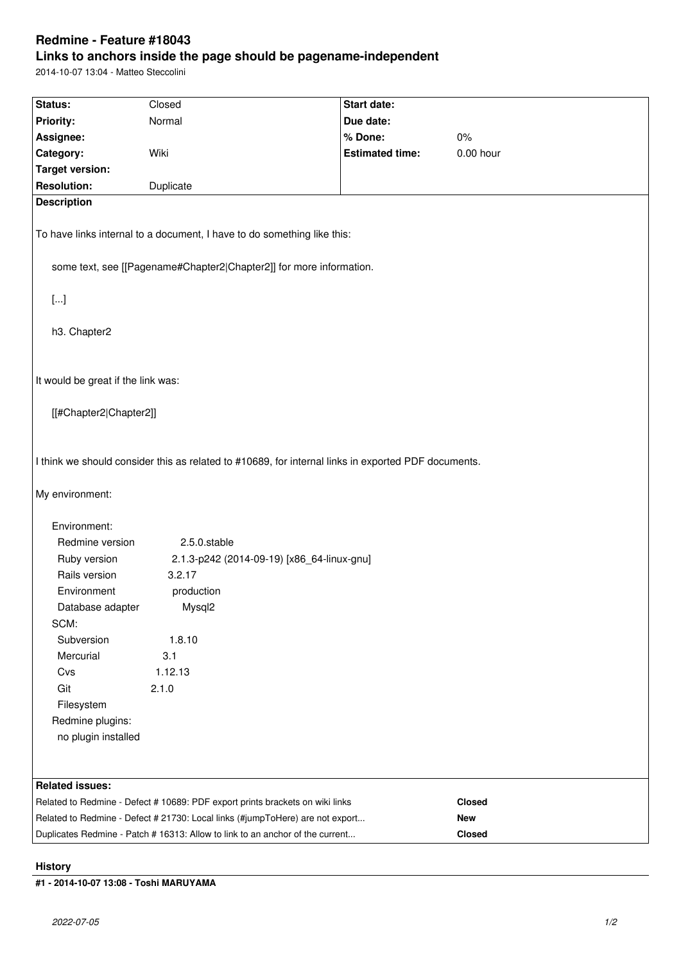# **Redmine - Feature #18043**

# **Links to anchors inside the page should be pagename-independent**

2014-10-07 13:04 - Matteo Steccolini

| Status:                                                                                                                | Closed                                                                        | Start date:            |             |
|------------------------------------------------------------------------------------------------------------------------|-------------------------------------------------------------------------------|------------------------|-------------|
| <b>Priority:</b>                                                                                                       | Normal                                                                        | Due date:              |             |
|                                                                                                                        |                                                                               | % Done:                | $0\%$       |
| Assignee:                                                                                                              | Wiki                                                                          | <b>Estimated time:</b> | $0.00$ hour |
| Category:                                                                                                              |                                                                               |                        |             |
| <b>Target version:</b><br><b>Resolution:</b>                                                                           |                                                                               |                        |             |
|                                                                                                                        | Duplicate                                                                     |                        |             |
| <b>Description</b>                                                                                                     |                                                                               |                        |             |
| To have links internal to a document, I have to do something like this:                                                |                                                                               |                        |             |
| some text, see [[Pagename#Chapter2 Chapter2]] for more information.                                                    |                                                                               |                        |             |
| $[]$                                                                                                                   |                                                                               |                        |             |
| h3. Chapter2                                                                                                           |                                                                               |                        |             |
| It would be great if the link was:                                                                                     |                                                                               |                        |             |
|                                                                                                                        |                                                                               |                        |             |
| [[#Chapter2 Chapter2]]                                                                                                 |                                                                               |                        |             |
|                                                                                                                        |                                                                               |                        |             |
| I think we should consider this as related to #10689, for internal links in exported PDF documents.<br>My environment: |                                                                               |                        |             |
| Environment:                                                                                                           |                                                                               |                        |             |
| Redmine version                                                                                                        | 2.5.0.stable                                                                  |                        |             |
| Ruby version                                                                                                           | 2.1.3-p242 (2014-09-19) [x86_64-linux-gnu]                                    |                        |             |
| Rails version                                                                                                          | 3.2.17                                                                        |                        |             |
| Environment                                                                                                            | production                                                                    |                        |             |
| Database adapter                                                                                                       | Mysql2                                                                        |                        |             |
| SCM:                                                                                                                   |                                                                               |                        |             |
| Subversion                                                                                                             | 1.8.10                                                                        |                        |             |
| Mercurial                                                                                                              | 3.1                                                                           |                        |             |
| Cvs                                                                                                                    | 1.12.13                                                                       |                        |             |
| Git                                                                                                                    | 2.1.0                                                                         |                        |             |
| Filesystem                                                                                                             |                                                                               |                        |             |
| Redmine plugins:                                                                                                       |                                                                               |                        |             |
| no plugin installed                                                                                                    |                                                                               |                        |             |
|                                                                                                                        |                                                                               |                        |             |
| <b>Related issues:</b>                                                                                                 |                                                                               |                        |             |
| Related to Redmine - Defect # 10689: PDF export prints brackets on wiki links                                          |                                                                               |                        | Closed      |
|                                                                                                                        | Related to Redmine - Defect # 21730: Local links (#jumpToHere) are not export |                        | <b>New</b>  |
|                                                                                                                        | Duplicates Redmine - Patch # 16313: Allow to link to an anchor of the current |                        | Closed      |

### **History**

**#1 - 2014-10-07 13:08 - Toshi MARUYAMA**